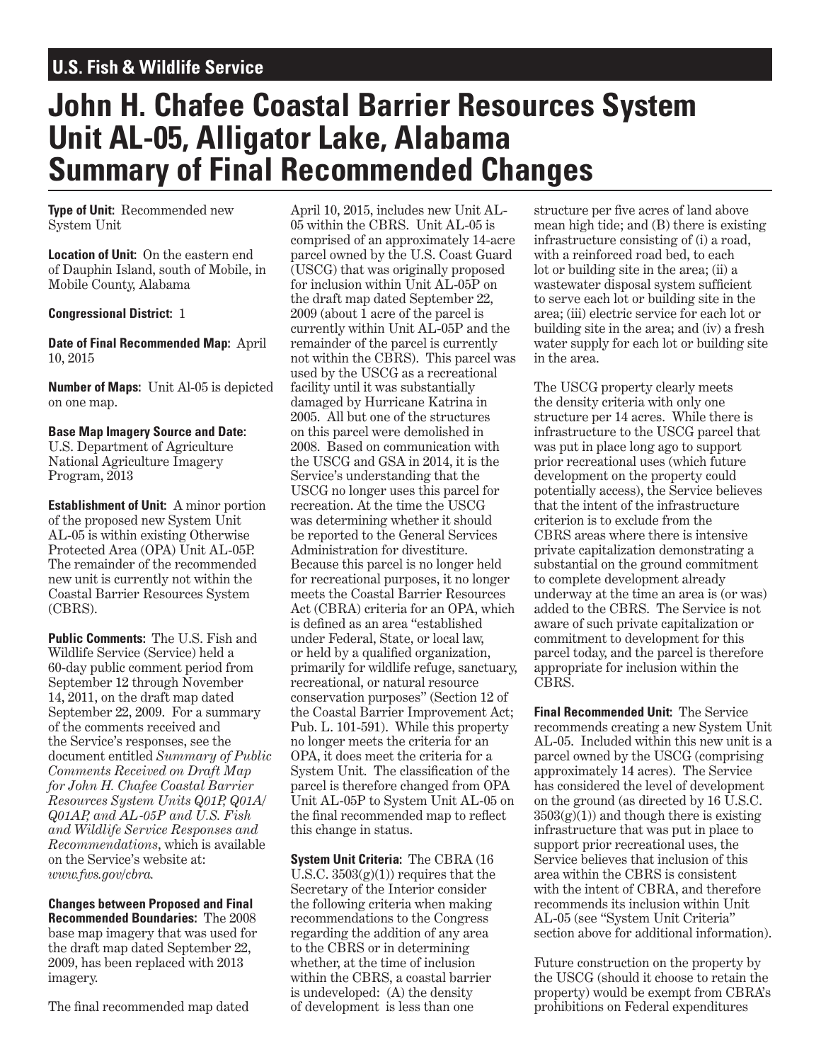## **U.S. Fish & Wildlife Service**

# **John H. Chafee Coastal Barrier Resources System Unit AL-05, Alligator Lake, Alabama Summary of Final Recommended Changes**

**Type of Unit:** Recommended new System Unit

**Location of Unit:** On the eastern end of Dauphin Island, south of Mobile, in Mobile County, Alabama

### **Congressional District:** 1

**Date of Final Recommended Map:** April 10, 2015

**Number of Maps:** Unit Al-05 is depicted on one map.

### **Base Map Imagery Source and Date:**

U.S. Department of Agriculture National Agriculture Imagery Program, 2013

**Establishment of Unit:** A minor portion of the proposed new System Unit AL-05 is within existing Otherwise Protected Area (OPA) Unit AL-05P. The remainder of the recommended new unit is currently not within the Coastal Barrier Resources System (CBRS).

**Public Comments: The U.S. Fish and** Wildlife Service (Service) held a 60-day public comment period from September 12 through November 14, 2011, on the draft map dated September 22, 2009. For a summary of the comments received and the Service's responses, see the document entitled *Summary of Public Comments Received on Draft Map for John H. Chafee Coastal Barrier Resources System Units Q01P, Q01A/ Q01AP, and AL-05P and U.S. Fish and Wildlife Service Responses and Recommendations*, which is available on the Service's website at: *www.fws.gov/cbra.*

**Changes between Proposed and Final Recommended Boundaries:** The 2008 base map imagery that was used for the draft map dated September 22, 2009, has been replaced with 2013 imagery.

The final recommended map dated

April 10, 2015, includes new Unit AL-05 within the CBRS. Unit AL-05 is comprised of an approximately 14-acre parcel owned by the U.S. Coast Guard (USCG) that was originally proposed for inclusion within Unit AL-05P on the draft map dated September 22, 2009 (about 1 acre of the parcel is currently within Unit AL-05P and the remainder of the parcel is currently not within the CBRS). This parcel was used by the USCG as a recreational facility until it was substantially damaged by Hurricane Katrina in 2005. All but one of the structures on this parcel were demolished in 2008. Based on communication with the USCG and GSA in 2014, it is the Service's understanding that the USCG no longer uses this parcel for recreation. At the time the USCG was determining whether it should be reported to the General Services Administration for divestiture. Because this parcel is no longer held for recreational purposes, it no longer meets the Coastal Barrier Resources Act (CBRA) criteria for an OPA, which is defined as an area "established under Federal, State, or local law, or held by a qualified organization, primarily for wildlife refuge, sanctuary, recreational, or natural resource conservation purposes" (Section 12 of the Coastal Barrier Improvement Act; Pub. L. 101-591). While this property no longer meets the criteria for an OPA, it does meet the criteria for a System Unit. The classification of the parcel is therefore changed from OPA Unit AL-05P to System Unit AL-05 on the final recommended map to reflect this change in status.

**System Unit Criteria:** The CBRA (16 U.S.C.  $3503(e)(1)$  requires that the Secretary of the Interior consider the following criteria when making recommendations to the Congress regarding the addition of any area to the CBRS or in determining whether, at the time of inclusion within the CBRS, a coastal barrier is undeveloped: (A) the density of development is less than one

structure per five acres of land above mean high tide; and (B) there is existing infrastructure consisting of (i) a road, with a reinforced road bed, to each lot or building site in the area; (ii) a wastewater disposal system sufficient to serve each lot or building site in the area; (iii) electric service for each lot or building site in the area; and (iv) a fresh water supply for each lot or building site in the area.

The USCG property clearly meets the density criteria with only one structure per 14 acres. While there is infrastructure to the USCG parcel that was put in place long ago to support prior recreational uses (which future development on the property could potentially access), the Service believes that the intent of the infrastructure criterion is to exclude from the CBRS areas where there is intensive private capitalization demonstrating a substantial on the ground commitment to complete development already underway at the time an area is (or was) added to the CBRS. The Service is not aware of such private capitalization or commitment to development for this parcel today, and the parcel is therefore appropriate for inclusion within the CBRS.

**Final Recommended Unit:** The Service recommends creating a new System Unit AL-05. Included within this new unit is a parcel owned by the USCG (comprising approximately 14 acres). The Service has considered the level of development on the ground (as directed by 16 U.S.C.  $3503(g)(1)$  and though there is existing infrastructure that was put in place to support prior recreational uses, the Service believes that inclusion of this area within the CBRS is consistent with the intent of CBRA, and therefore recommends its inclusion within Unit AL-05 (see "System Unit Criteria" section above for additional information).

Future construction on the property by the USCG (should it choose to retain the property) would be exempt from CBRA's prohibitions on Federal expenditures